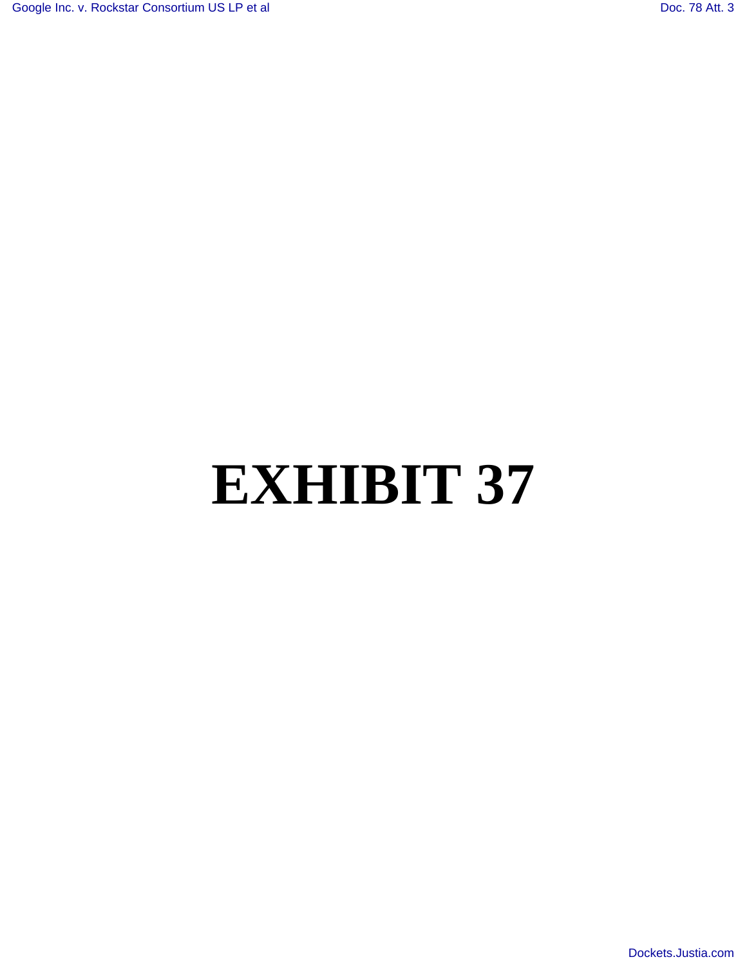# **EXHIBIT 37**

[Dockets.Justia.com](http://dockets.justia.com/)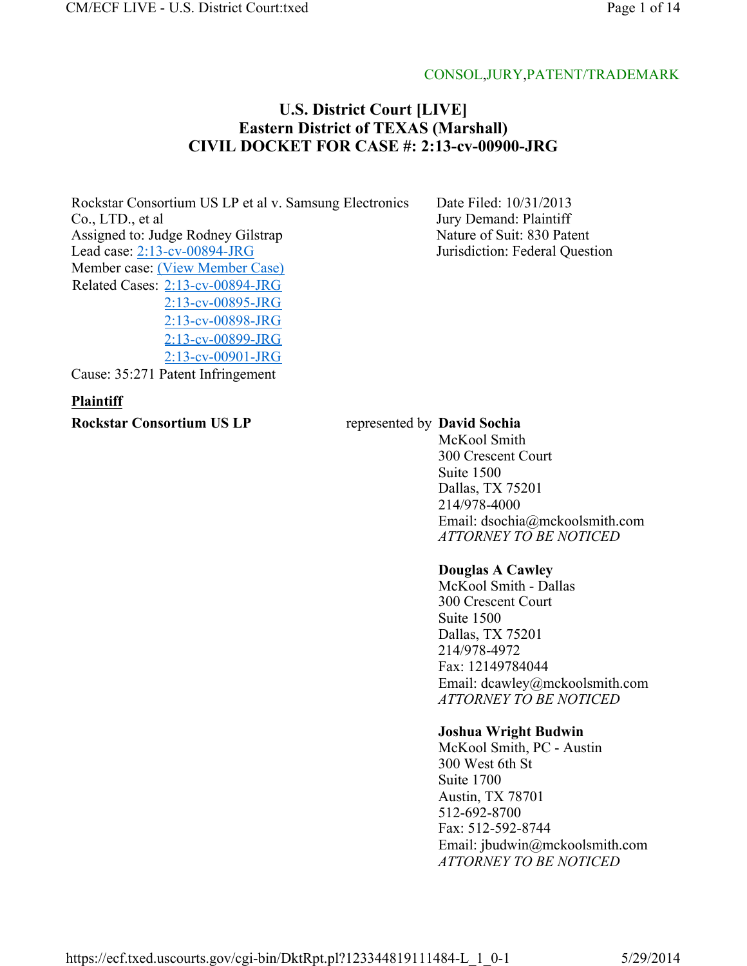#### CONSOL,JURY,PATENT/TRADEMARK

# **U.S. District Court [LIVE] Eastern District of TEXAS (Marshall) CIVIL DOCKET FOR CASE #: 2:13-cv-00900-JRG**

Rockstar Consortium US LP et al v. Samsung Electronics Co., LTD., et al Assigned to: Judge Rodney Gilstrap Lead case: 2:13-cv-00894-JRG Member case: (View Member Case) Related Cases: 2:13-cv-00894-JRG 2:13-cv-00895-JRG 2:13-cv-00898-JRG 2:13-cv-00899-JRG 2:13-cv-00901-JRG

Cause: 35:271 Patent Infringement

#### **Plaintiff**

**Rockstar Consortium US LP** represented by **David Sochia** 

Date Filed: 10/31/2013 Jury Demand: Plaintiff Nature of Suit: 830 Patent Jurisdiction: Federal Question

McKool Smith 300 Crescent Court Suite 1500 Dallas, TX 75201 214/978-4000 Email: dsochia@mckoolsmith.com *ATTORNEY TO BE NOTICED*

#### **Douglas A Cawley**

McKool Smith - Dallas 300 Crescent Court Suite 1500 Dallas, TX 75201 214/978-4972 Fax: 12149784044 Email: dcawley@mckoolsmith.com *ATTORNEY TO BE NOTICED*

#### **Joshua Wright Budwin**

McKool Smith, PC - Austin 300 West 6th St Suite 1700 Austin, TX 78701 512-692-8700 Fax: 512-592-8744 Email: jbudwin@mckoolsmith.com *ATTORNEY TO BE NOTICED*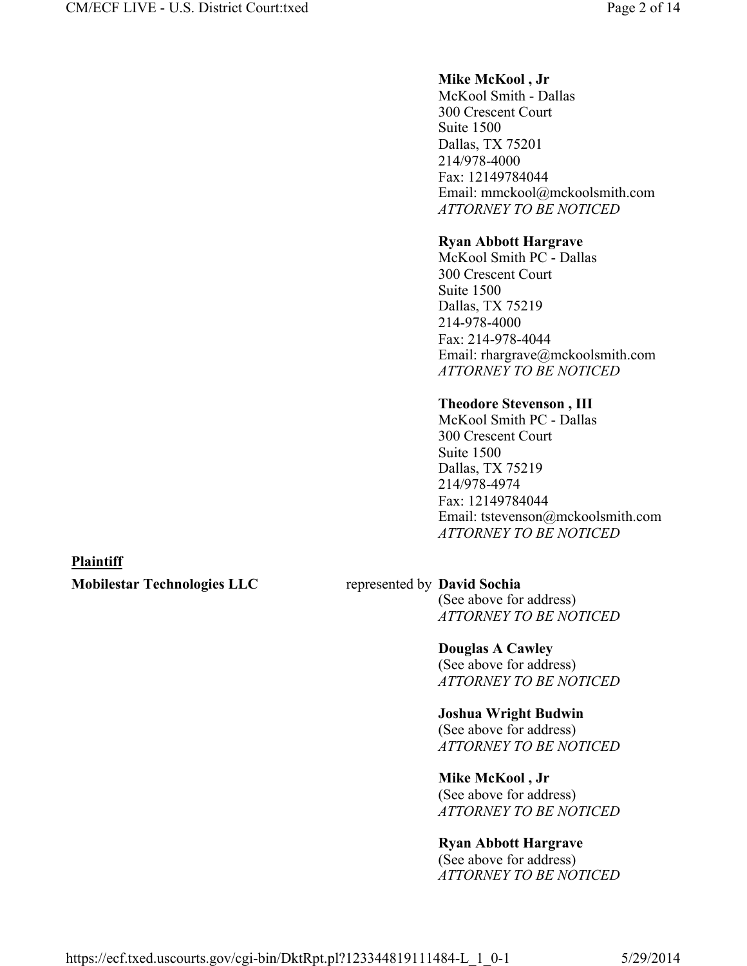#### **Mike McKool , Jr**

McKool Smith - Dallas 300 Crescent Court Suite 1500 Dallas, TX 75201 214/978-4000 Fax: 12149784044 Email: mmckool@mckoolsmith.com *ATTORNEY TO BE NOTICED*

#### **Ryan Abbott Hargrave**

McKool Smith PC - Dallas 300 Crescent Court Suite 1500 Dallas, TX 75219 214-978-4000 Fax: 214-978-4044 Email: rhargrave@mckoolsmith.com *ATTORNEY TO BE NOTICED*

#### **Theodore Stevenson , III**

McKool Smith PC - Dallas 300 Crescent Court Suite 1500 Dallas, TX 75219 214/978-4974 Fax: 12149784044 Email: tstevenson@mckoolsmith.com *ATTORNEY TO BE NOTICED*

#### **Plaintiff**

**Mobilestar Technologies LLC** represented by **David Sochia** 

(See above for address) *ATTORNEY TO BE NOTICED*

## **Douglas A Cawley**

(See above for address) *ATTORNEY TO BE NOTICED*

#### **Joshua Wright Budwin**

(See above for address) *ATTORNEY TO BE NOTICED*

#### **Mike McKool , Jr**

(See above for address) *ATTORNEY TO BE NOTICED*

## **Ryan Abbott Hargrave**

(See above for address) *ATTORNEY TO BE NOTICED*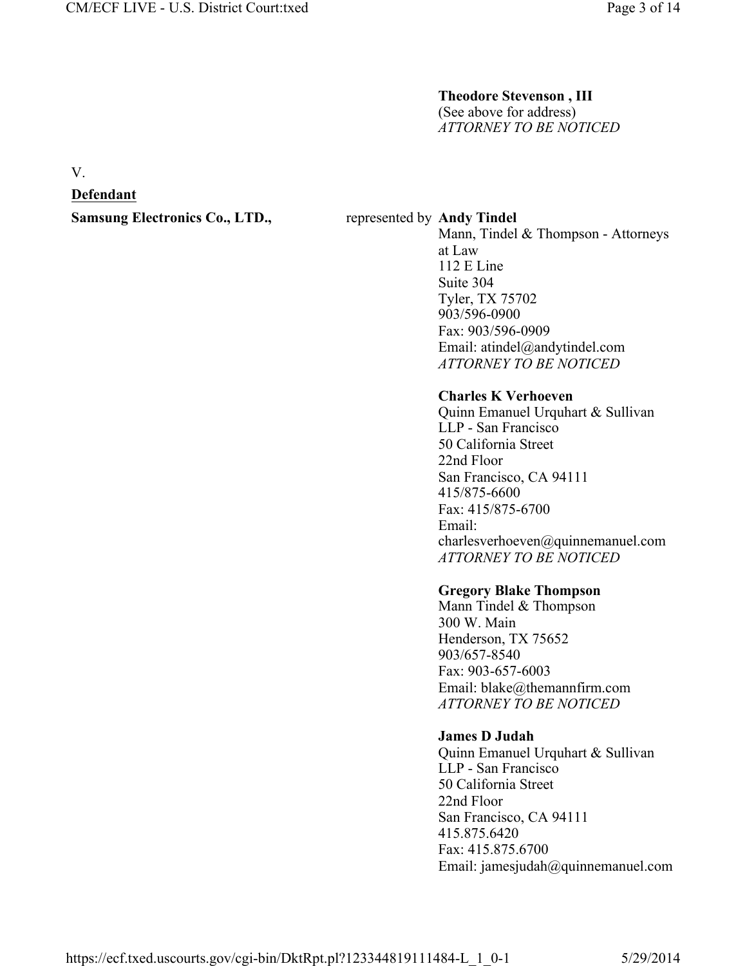# **Theodore Stevenson , III**

(See above for address) *ATTORNEY TO BE NOTICED*

V.

#### **Defendant**

**Samsung Electronics Co., LTD.,** represented by Andy Tindel

Mann, Tindel & Thompson - Attorneys at Law 112 E Line Suite 304 Tyler, TX 75702 903/596-0900 Fax: 903/596-0909 Email: atindel@andytindel.com *ATTORNEY TO BE NOTICED*

#### **Charles K Verhoeven**

Quinn Emanuel Urquhart & Sullivan LLP - San Francisco 50 California Street 22nd Floor San Francisco, CA 94111 415/875-6600 Fax: 415/875-6700 Email: charlesverhoeven@quinnemanuel.com *ATTORNEY TO BE NOTICED*

#### **Gregory Blake Thompson**

Mann Tindel & Thompson 300 W. Main Henderson, TX 75652 903/657-8540 Fax: 903-657-6003 Email: blake@themannfirm.com *ATTORNEY TO BE NOTICED*

## **James D Judah**

Quinn Emanuel Urquhart & Sullivan LLP - San Francisco 50 California Street 22nd Floor San Francisco, CA 94111 415.875.6420 Fax: 415.875.6700 Email: jamesjudah@quinnemanuel.com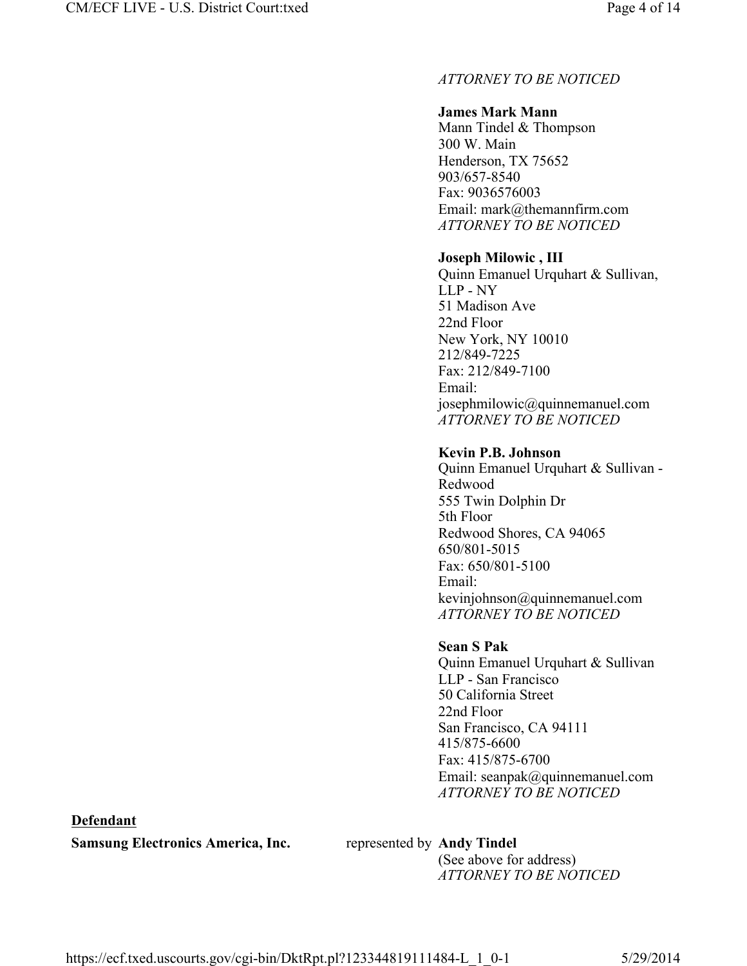# *ATTORNEY TO BE NOTICED*

# **James Mark Mann**

Mann Tindel & Thompson 300 W. Main Henderson, TX 75652 903/657-8540 Fax: 9036576003 Email: mark@themannfirm.com *ATTORNEY TO BE NOTICED*

# **Joseph Milowic , III**

Quinn Emanuel Urquhart & Sullivan, LLP - NY 51 Madison Ave 22nd Floor New York, NY 10010 212/849-7225 Fax: 212/849-7100 Email: josephmilowic@quinnemanuel.com *ATTORNEY TO BE NOTICED*

## **Kevin P.B. Johnson**

Quinn Emanuel Urquhart & Sullivan - Redwood 555 Twin Dolphin Dr 5th Floor Redwood Shores, CA 94065 650/801-5015 Fax: 650/801-5100 Email: kevinjohnson@quinnemanuel.com *ATTORNEY TO BE NOTICED*

# **Sean S Pak**

Quinn Emanuel Urquhart & Sullivan LLP - San Francisco 50 California Street 22nd Floor San Francisco, CA 94111 415/875-6600 Fax: 415/875-6700 Email: seanpak@quinnemanuel.com *ATTORNEY TO BE NOTICED*

# **Defendant**

**Samsung Electronics America, Inc.** represented by **Andy Tindel** 

(See above for address) *ATTORNEY TO BE NOTICED*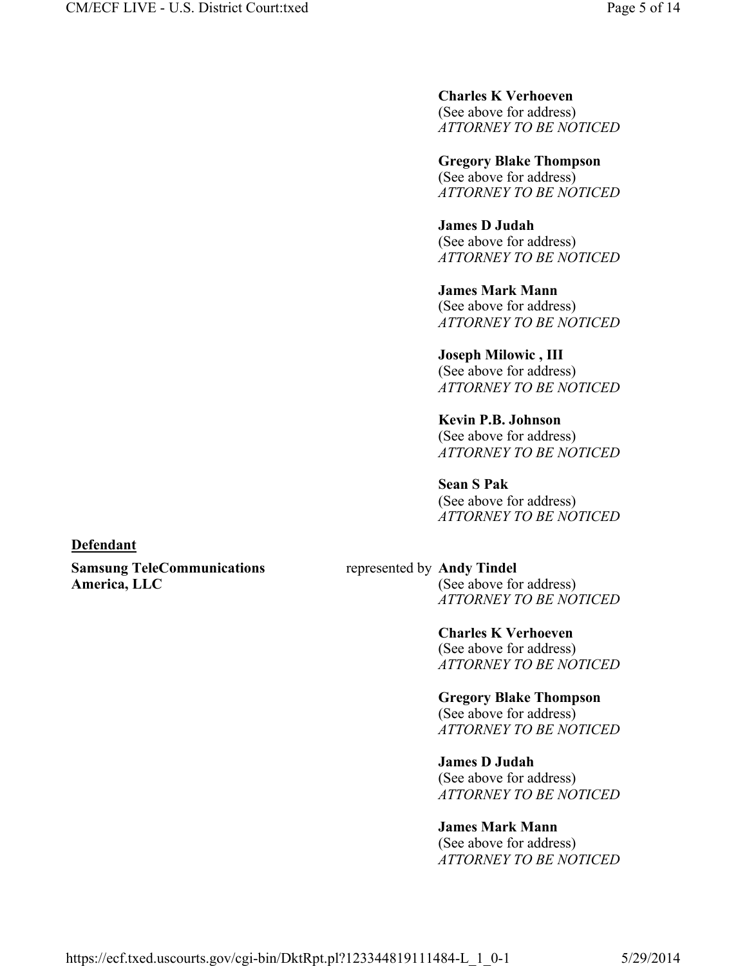**Charles K Verhoeven**  (See above for address) *ATTORNEY TO BE NOTICED*

**Gregory Blake Thompson**  (See above for address) *ATTORNEY TO BE NOTICED*

**James D Judah**  (See above for address) *ATTORNEY TO BE NOTICED*

**James Mark Mann**  (See above for address) *ATTORNEY TO BE NOTICED*

**Joseph Milowic , III**  (See above for address) *ATTORNEY TO BE NOTICED*

**Kevin P.B. Johnson**  (See above for address) *ATTORNEY TO BE NOTICED*

**Sean S Pak**  (See above for address) *ATTORNEY TO BE NOTICED*

**Defendant** 

**Samsung TeleCommunications America, LLC**

## represented by **Andy Tindel**

(See above for address) *ATTORNEY TO BE NOTICED*

**Charles K Verhoeven**  (See above for address) *ATTORNEY TO BE NOTICED*

**Gregory Blake Thompson**  (See above for address) *ATTORNEY TO BE NOTICED*

**James D Judah**  (See above for address) *ATTORNEY TO BE NOTICED*

# **James Mark Mann**

(See above for address) *ATTORNEY TO BE NOTICED*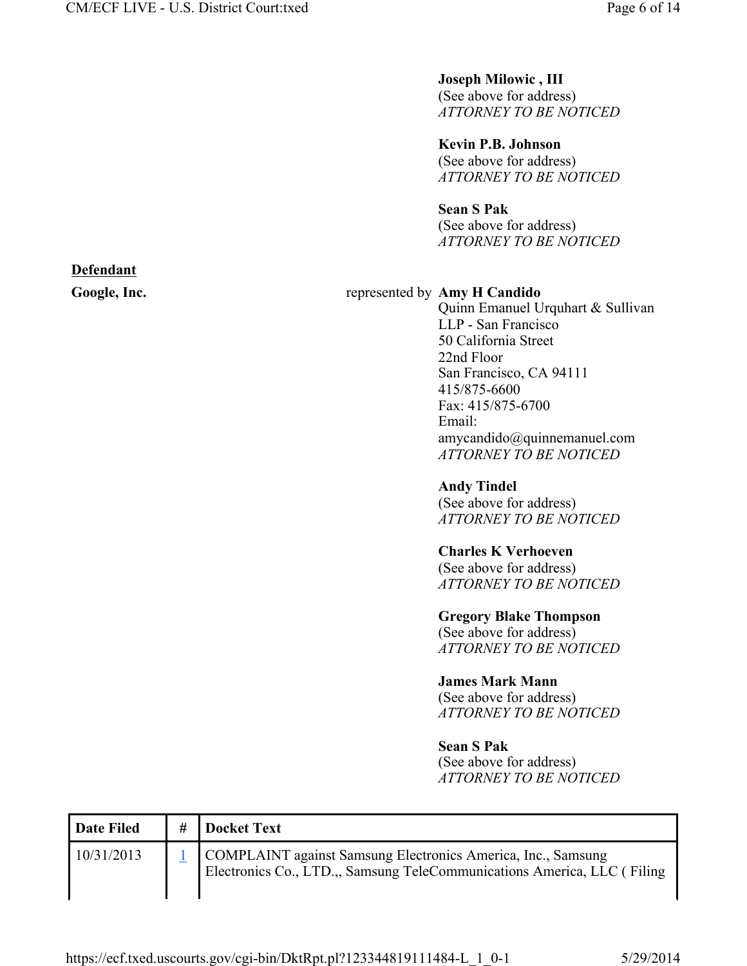#### **Joseph Milowic , III**

(See above for address) *ATTORNEY TO BE NOTICED*

**Kevin P.B. Johnson**  (See above for address) *ATTORNEY TO BE NOTICED*

#### **Sean S Pak**

(See above for address) *ATTORNEY TO BE NOTICED*

## Google, Inc. **and South Amy H Candido Figure 2.1 and South Amy H Candido**

Quinn Emanuel Urquhart & Sullivan LLP - San Francisco 50 California Street 22nd Floor San Francisco, CA 94111 415/875-6600 Fax: 415/875-6700 Email: amycandido@quinnemanuel.com *ATTORNEY TO BE NOTICED*

**Andy Tindel**  (See above for address) *ATTORNEY TO BE NOTICED*

#### **Charles K Verhoeven**

(See above for address) *ATTORNEY TO BE NOTICED*

#### **Gregory Blake Thompson**

(See above for address) *ATTORNEY TO BE NOTICED*

#### **James Mark Mann**

(See above for address) *ATTORNEY TO BE NOTICED*

#### **Sean S Pak**

(See above for address) *ATTORNEY TO BE NOTICED*

| <b>Date Filed</b> | # | Docket Text                                                                                                                             |
|-------------------|---|-----------------------------------------------------------------------------------------------------------------------------------------|
| 10/31/2013        |   | COMPLAINT against Samsung Electronics America, Inc., Samsung<br>Electronics Co., LTD.,, Samsung TeleCommunications America, LLC (Filing |

**Defendant**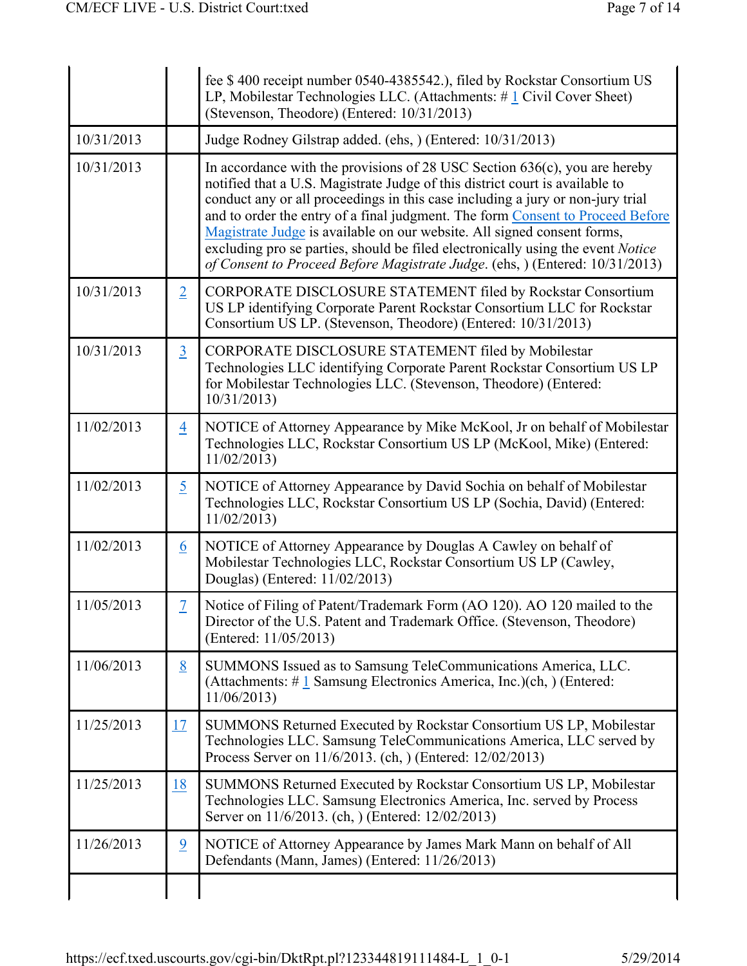|            |                | fee \$400 receipt number 0540-4385542.), filed by Rockstar Consortium US<br>LP, Mobilestar Technologies LLC. (Attachments: $\# \underline{1}$ Civil Cover Sheet)<br>(Stevenson, Theodore) (Entered: 10/31/2013)                                                                                                                                                                                                                                                                                                                                                                       |  |  |
|------------|----------------|---------------------------------------------------------------------------------------------------------------------------------------------------------------------------------------------------------------------------------------------------------------------------------------------------------------------------------------------------------------------------------------------------------------------------------------------------------------------------------------------------------------------------------------------------------------------------------------|--|--|
| 10/31/2013 |                | Judge Rodney Gilstrap added. (ehs, ) (Entered: 10/31/2013)                                                                                                                                                                                                                                                                                                                                                                                                                                                                                                                            |  |  |
| 10/31/2013 |                | In accordance with the provisions of 28 USC Section $636(c)$ , you are hereby<br>notified that a U.S. Magistrate Judge of this district court is available to<br>conduct any or all proceedings in this case including a jury or non-jury trial<br>and to order the entry of a final judgment. The form Consent to Proceed Before<br>Magistrate Judge is available on our website. All signed consent forms,<br>excluding pro se parties, should be filed electronically using the event <i>Notice</i><br>of Consent to Proceed Before Magistrate Judge. (ehs.) (Entered: 10/31/2013) |  |  |
| 10/31/2013 | $\overline{2}$ | CORPORATE DISCLOSURE STATEMENT filed by Rockstar Consortium<br>US LP identifying Corporate Parent Rockstar Consortium LLC for Rockstar<br>Consortium US LP. (Stevenson, Theodore) (Entered: 10/31/2013)                                                                                                                                                                                                                                                                                                                                                                               |  |  |
| 10/31/2013 | $\overline{3}$ | CORPORATE DISCLOSURE STATEMENT filed by Mobilestar<br>Technologies LLC identifying Corporate Parent Rockstar Consortium US LP<br>for Mobilestar Technologies LLC. (Stevenson, Theodore) (Entered:<br>10/31/2013                                                                                                                                                                                                                                                                                                                                                                       |  |  |
| 11/02/2013 | $\overline{4}$ | NOTICE of Attorney Appearance by Mike McKool, Jr on behalf of Mobilestar<br>Technologies LLC, Rockstar Consortium US LP (McKool, Mike) (Entered:<br>11/02/2013                                                                                                                                                                                                                                                                                                                                                                                                                        |  |  |
| 11/02/2013 | $\overline{5}$ | NOTICE of Attorney Appearance by David Sochia on behalf of Mobilestar<br>Technologies LLC, Rockstar Consortium US LP (Sochia, David) (Entered:<br>11/02/2013                                                                                                                                                                                                                                                                                                                                                                                                                          |  |  |
| 11/02/2013 | <u>6</u>       | NOTICE of Attorney Appearance by Douglas A Cawley on behalf of<br>Mobilestar Technologies LLC, Rockstar Consortium US LP (Cawley,<br>Douglas) (Entered: 11/02/2013)                                                                                                                                                                                                                                                                                                                                                                                                                   |  |  |
| 11/05/2013 | 7              | Notice of Filing of Patent/Trademark Form (AO 120). AO 120 mailed to the<br>Director of the U.S. Patent and Trademark Office. (Stevenson, Theodore)<br>(Entered: 11/05/2013)                                                                                                                                                                                                                                                                                                                                                                                                          |  |  |
| 11/06/2013 | 8              | SUMMONS Issued as to Samsung TeleCommunications America, LLC.<br>(Attachments: $\# \underline{1}$ Samsung Electronics America, Inc.)(ch, ) (Entered:<br>11/06/2013                                                                                                                                                                                                                                                                                                                                                                                                                    |  |  |
| 11/25/2013 | <u>17</u>      | SUMMONS Returned Executed by Rockstar Consortium US LP, Mobilestar<br>Technologies LLC. Samsung TeleCommunications America, LLC served by<br>Process Server on 11/6/2013. (ch. ) (Entered: 12/02/2013)                                                                                                                                                                                                                                                                                                                                                                                |  |  |
| 11/25/2013 | 18             | SUMMONS Returned Executed by Rockstar Consortium US LP, Mobilestar<br>Technologies LLC. Samsung Electronics America, Inc. served by Process<br>Server on 11/6/2013. (ch, ) (Entered: 12/02/2013)                                                                                                                                                                                                                                                                                                                                                                                      |  |  |
| 11/26/2013 | $\overline{9}$ | NOTICE of Attorney Appearance by James Mark Mann on behalf of All<br>Defendants (Mann, James) (Entered: 11/26/2013)                                                                                                                                                                                                                                                                                                                                                                                                                                                                   |  |  |
|            |                |                                                                                                                                                                                                                                                                                                                                                                                                                                                                                                                                                                                       |  |  |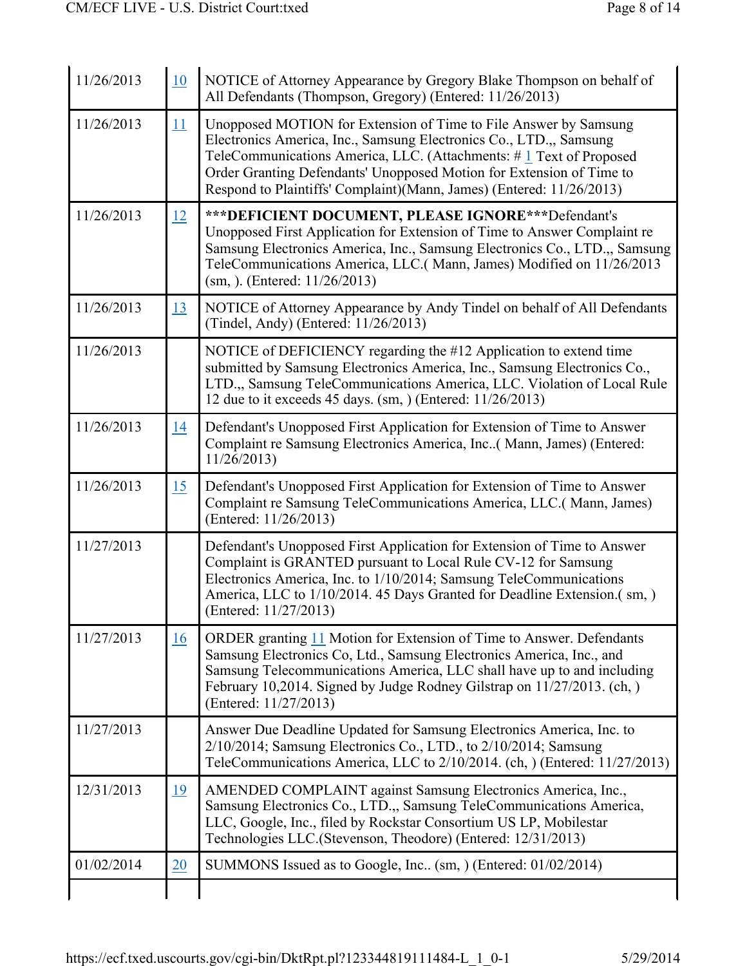| 11/26/2013 | 10        | NOTICE of Attorney Appearance by Gregory Blake Thompson on behalf of<br>All Defendants (Thompson, Gregory) (Entered: 11/26/2013)                                                                                                                                                                                                                             |  |
|------------|-----------|--------------------------------------------------------------------------------------------------------------------------------------------------------------------------------------------------------------------------------------------------------------------------------------------------------------------------------------------------------------|--|
| 11/26/2013 | 11        | Unopposed MOTION for Extension of Time to File Answer by Samsung<br>Electronics America, Inc., Samsung Electronics Co., LTD.,, Samsung<br>TeleCommunications America, LLC. (Attachments: #1 Text of Proposed<br>Order Granting Defendants' Unopposed Motion for Extension of Time to<br>Respond to Plaintiffs' Complaint)(Mann, James) (Entered: 11/26/2013) |  |
| 11/26/2013 | 12        | *** DEFICIENT DOCUMENT, PLEASE IGNORE *** Defendant's<br>Unopposed First Application for Extension of Time to Answer Complaint re<br>Samsung Electronics America, Inc., Samsung Electronics Co., LTD.,, Samsung<br>TeleCommunications America, LLC.(Mann, James) Modified on 11/26/2013<br>$(sm, )$ . (Entered: 11/26/2013)                                  |  |
| 11/26/2013 | 13        | NOTICE of Attorney Appearance by Andy Tindel on behalf of All Defendants<br>(Tindel, Andy) (Entered: 11/26/2013)                                                                                                                                                                                                                                             |  |
| 11/26/2013 |           | NOTICE of DEFICIENCY regarding the #12 Application to extend time<br>submitted by Samsung Electronics America, Inc., Samsung Electronics Co.,<br>LTD., Samsung TeleCommunications America, LLC. Violation of Local Rule<br>12 due to it exceeds 45 days. (sm, ) (Entered: 11/26/2013)                                                                        |  |
| 11/26/2013 | 14        | Defendant's Unopposed First Application for Extension of Time to Answer<br>Complaint re Samsung Electronics America, Inc( Mann, James) (Entered:<br>11/26/2013                                                                                                                                                                                               |  |
| 11/26/2013 | 15        | Defendant's Unopposed First Application for Extension of Time to Answer<br>Complaint re Samsung TeleCommunications America, LLC. (Mann, James)<br>(Entered: 11/26/2013)                                                                                                                                                                                      |  |
| 11/27/2013 |           | Defendant's Unopposed First Application for Extension of Time to Answer<br>Complaint is GRANTED pursuant to Local Rule CV-12 for Samsung<br>Electronics America, Inc. to 1/10/2014; Samsung TeleCommunications<br>America, LLC to 1/10/2014. 45 Days Granted for Deadline Extension.(sm,)<br>(Entered: 11/27/2013)                                           |  |
| 11/27/2013 | <u>16</u> | ORDER granting 11 Motion for Extension of Time to Answer. Defendants<br>Samsung Electronics Co, Ltd., Samsung Electronics America, Inc., and<br>Samsung Telecommunications America, LLC shall have up to and including<br>February 10,2014. Signed by Judge Rodney Gilstrap on 11/27/2013. (ch.)<br>(Entered: 11/27/2013)                                    |  |
| 11/27/2013 |           | Answer Due Deadline Updated for Samsung Electronics America, Inc. to<br>$2/10/2014$ ; Samsung Electronics Co., LTD., to $2/10/2014$ ; Samsung<br>TeleCommunications America, LLC to 2/10/2014. (ch, ) (Entered: 11/27/2013)                                                                                                                                  |  |
| 12/31/2013 | 19        | AMENDED COMPLAINT against Samsung Electronics America, Inc.,<br>Samsung Electronics Co., LTD., Samsung TeleCommunications America,<br>LLC, Google, Inc., filed by Rockstar Consortium US LP, Mobilestar<br>Technologies LLC. (Stevenson, Theodore) (Entered: 12/31/2013)                                                                                     |  |
| 01/02/2014 | 20        | SUMMONS Issued as to Google, Inc (sm, ) (Entered: 01/02/2014)                                                                                                                                                                                                                                                                                                |  |
|            |           |                                                                                                                                                                                                                                                                                                                                                              |  |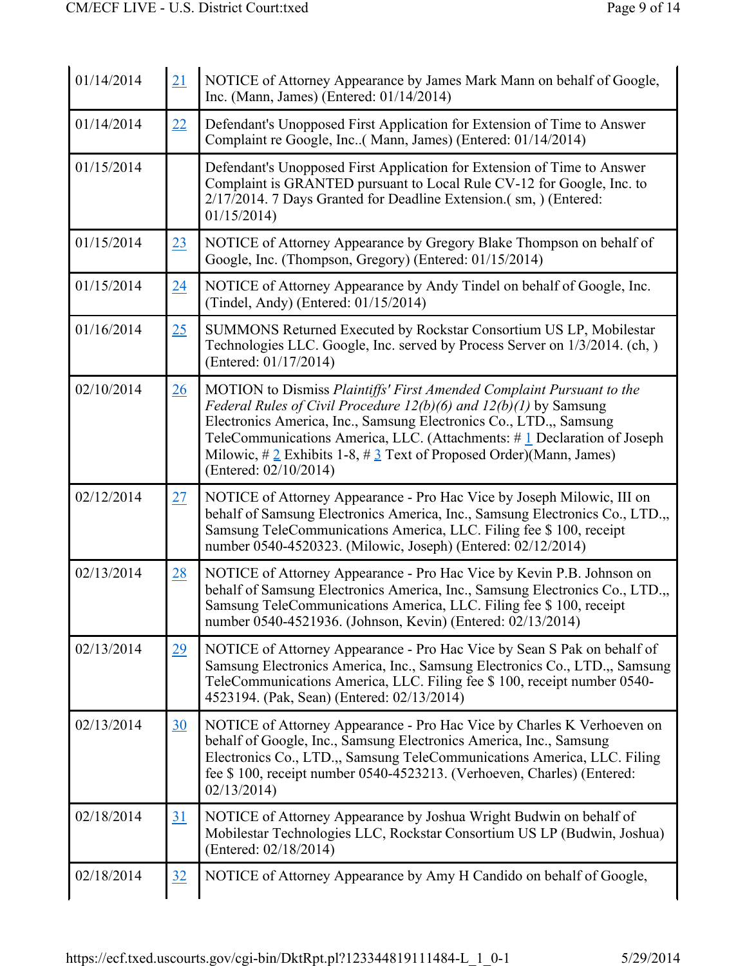| 01/14/2014 | 21              | NOTICE of Attorney Appearance by James Mark Mann on behalf of Google,<br>Inc. (Mann, James) (Entered: 01/14/2014)                                                                                                                                                                                                                                                                                     |  |
|------------|-----------------|-------------------------------------------------------------------------------------------------------------------------------------------------------------------------------------------------------------------------------------------------------------------------------------------------------------------------------------------------------------------------------------------------------|--|
| 01/14/2014 | 22              | Defendant's Unopposed First Application for Extension of Time to Answer<br>Complaint re Google, Inc( Mann, James) (Entered: 01/14/2014)                                                                                                                                                                                                                                                               |  |
| 01/15/2014 |                 | Defendant's Unopposed First Application for Extension of Time to Answer<br>Complaint is GRANTED pursuant to Local Rule CV-12 for Google, Inc. to<br>2/17/2014. 7 Days Granted for Deadline Extension. (sm, ) (Entered:<br>01/15/2014                                                                                                                                                                  |  |
| 01/15/2014 | 23              | NOTICE of Attorney Appearance by Gregory Blake Thompson on behalf of<br>Google, Inc. (Thompson, Gregory) (Entered: 01/15/2014)                                                                                                                                                                                                                                                                        |  |
| 01/15/2014 | $\overline{24}$ | NOTICE of Attorney Appearance by Andy Tindel on behalf of Google, Inc.<br>(Tindel, Andy) (Entered: 01/15/2014)                                                                                                                                                                                                                                                                                        |  |
| 01/16/2014 | 25              | SUMMONS Returned Executed by Rockstar Consortium US LP, Mobilestar<br>Technologies LLC. Google, Inc. served by Process Server on 1/3/2014. (ch.)<br>(Entered: 01/17/2014)                                                                                                                                                                                                                             |  |
| 02/10/2014 | 26              | MOTION to Dismiss Plaintiffs' First Amended Complaint Pursuant to the<br>Federal Rules of Civil Procedure $12(b)(6)$ and $12(b)(1)$ by Samsung<br>Electronics America, Inc., Samsung Electronics Co., LTD.,, Samsung<br>TeleCommunications America, LLC. (Attachments: #1 Declaration of Joseph<br>Milowic, $\# 2$ Exhibits 1-8, $\# 3$ Text of Proposed Order)(Mann, James)<br>(Entered: 02/10/2014) |  |
| 02/12/2014 | 27              | NOTICE of Attorney Appearance - Pro Hac Vice by Joseph Milowic, III on<br>behalf of Samsung Electronics America, Inc., Samsung Electronics Co., LTD.,<br>Samsung TeleCommunications America, LLC. Filing fee \$ 100, receipt<br>number 0540-4520323. (Milowic, Joseph) (Entered: 02/12/2014)                                                                                                          |  |
| 02/13/2014 | 28              | NOTICE of Attorney Appearance - Pro Hac Vice by Kevin P.B. Johnson on<br>behalf of Samsung Electronics America, Inc., Samsung Electronics Co., LTD.,,<br>Samsung TeleCommunications America, LLC. Filing fee \$ 100, receipt<br>number 0540-4521936. (Johnson, Kevin) (Entered: 02/13/2014)                                                                                                           |  |
| 02/13/2014 | 29              | NOTICE of Attorney Appearance - Pro Hac Vice by Sean S Pak on behalf of<br>Samsung Electronics America, Inc., Samsung Electronics Co., LTD.,, Samsung<br>TeleCommunications America, LLC. Filing fee \$ 100, receipt number 0540-<br>4523194. (Pak, Sean) (Entered: 02/13/2014)                                                                                                                       |  |
| 02/13/2014 | <u>30</u>       | NOTICE of Attorney Appearance - Pro Hac Vice by Charles K Verhoeven on<br>behalf of Google, Inc., Samsung Electronics America, Inc., Samsung<br>Electronics Co., LTD.,, Samsung TeleCommunications America, LLC. Filing<br>fee \$100, receipt number 0540-4523213. (Verhoeven, Charles) (Entered:<br>02/13/2014                                                                                       |  |
| 02/18/2014 | 31              | NOTICE of Attorney Appearance by Joshua Wright Budwin on behalf of<br>Mobilestar Technologies LLC, Rockstar Consortium US LP (Budwin, Joshua)<br>(Entered: 02/18/2014)                                                                                                                                                                                                                                |  |
| 02/18/2014 | 32              | NOTICE of Attorney Appearance by Amy H Candido on behalf of Google,                                                                                                                                                                                                                                                                                                                                   |  |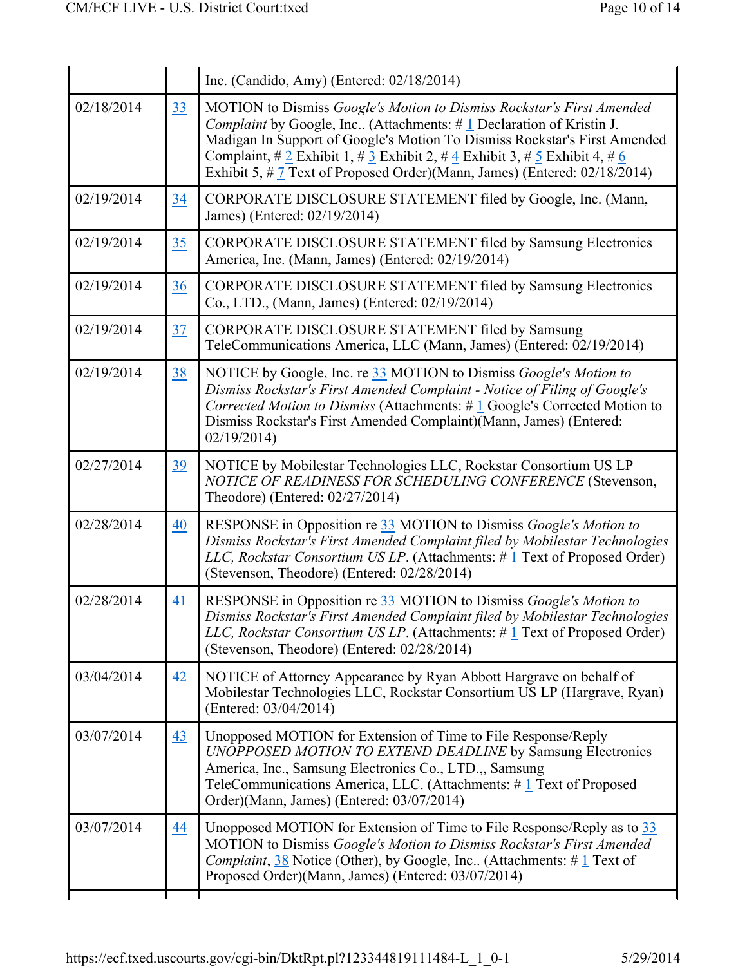|            |                 | Inc. (Candido, Amy) (Entered: 02/18/2014)                                                                                                                                                                                                                                                                                                                                                                              |  |  |
|------------|-----------------|------------------------------------------------------------------------------------------------------------------------------------------------------------------------------------------------------------------------------------------------------------------------------------------------------------------------------------------------------------------------------------------------------------------------|--|--|
| 02/18/2014 | 33              | MOTION to Dismiss Google's Motion to Dismiss Rockstar's First Amended<br><i>Complaint</i> by Google, Inc (Attachments: $\#$ 1 Declaration of Kristin J.<br>Madigan In Support of Google's Motion To Dismiss Rockstar's First Amended<br>Complaint, $\#\ 2$ Exhibit 1, $\#\ 3$ Exhibit 2, $\#\ 4$ Exhibit 3, $\#\ 5$ Exhibit 4, $\#\ 6$<br>Exhibit 5, $\#$ 7 Text of Proposed Order)(Mann, James) (Entered: 02/18/2014) |  |  |
| 02/19/2014 | $\overline{34}$ | CORPORATE DISCLOSURE STATEMENT filed by Google, Inc. (Mann,<br>James) (Entered: 02/19/2014)                                                                                                                                                                                                                                                                                                                            |  |  |
| 02/19/2014 | 35              | CORPORATE DISCLOSURE STATEMENT filed by Samsung Electronics<br>America, Inc. (Mann, James) (Entered: 02/19/2014)                                                                                                                                                                                                                                                                                                       |  |  |
| 02/19/2014 | 36              | CORPORATE DISCLOSURE STATEMENT filed by Samsung Electronics<br>Co., LTD., (Mann, James) (Entered: 02/19/2014)                                                                                                                                                                                                                                                                                                          |  |  |
| 02/19/2014 | 37              | CORPORATE DISCLOSURE STATEMENT filed by Samsung<br>TeleCommunications America, LLC (Mann, James) (Entered: 02/19/2014)                                                                                                                                                                                                                                                                                                 |  |  |
| 02/19/2014 | <u>38</u>       | NOTICE by Google, Inc. re 33 MOTION to Dismiss Google's Motion to<br>Dismiss Rockstar's First Amended Complaint - Notice of Filing of Google's<br>Corrected Motion to Dismiss (Attachments: $\# \bot$ Google's Corrected Motion to<br>Dismiss Rockstar's First Amended Complaint)(Mann, James) (Entered:<br>02/19/2014                                                                                                 |  |  |
| 02/27/2014 | 39              | NOTICE by Mobilestar Technologies LLC, Rockstar Consortium US LP<br>NOTICE OF READINESS FOR SCHEDULING CONFERENCE (Stevenson,<br>Theodore) (Entered: 02/27/2014)                                                                                                                                                                                                                                                       |  |  |
| 02/28/2014 | 40              | RESPONSE in Opposition re 33 MOTION to Dismiss Google's Motion to<br>Dismiss Rockstar's First Amended Complaint filed by Mobilestar Technologies<br>LLC, Rockstar Consortium US LP. (Attachments: #1 Text of Proposed Order)<br>(Stevenson, Theodore) (Entered: 02/28/2014)                                                                                                                                            |  |  |
| 02/28/2014 | 41              | RESPONSE in Opposition re 33 MOTION to Dismiss Google's Motion to<br>Dismiss Rockstar's First Amended Complaint filed by Mobilestar Technologies<br>LLC, Rockstar Consortium US LP. (Attachments: $\#$ 1 Text of Proposed Order)<br>(Stevenson, Theodore) (Entered: 02/28/2014)                                                                                                                                        |  |  |
| 03/04/2014 | 42              | NOTICE of Attorney Appearance by Ryan Abbott Hargrave on behalf of<br>Mobilestar Technologies LLC, Rockstar Consortium US LP (Hargrave, Ryan)<br>(Entered: 03/04/2014)                                                                                                                                                                                                                                                 |  |  |
| 03/07/2014 | 43              | Unopposed MOTION for Extension of Time to File Response/Reply<br>UNOPPOSED MOTION TO EXTEND DEADLINE by Samsung Electronics<br>America, Inc., Samsung Electronics Co., LTD., Samsung<br>TeleCommunications America, LLC. (Attachments: #1 Text of Proposed<br>Order)(Mann, James) (Entered: 03/07/2014)                                                                                                                |  |  |
| 03/07/2014 | 44              | Unopposed MOTION for Extension of Time to File Response/Reply as to 33<br>MOTION to Dismiss Google's Motion to Dismiss Rockstar's First Amended<br><i>Complaint</i> , $\frac{38}{38}$ Notice (Other), by Google, Inc (Attachments: # $\frac{1}{4}$ Text of<br>Proposed Order)(Mann, James) (Entered: 03/07/2014)                                                                                                       |  |  |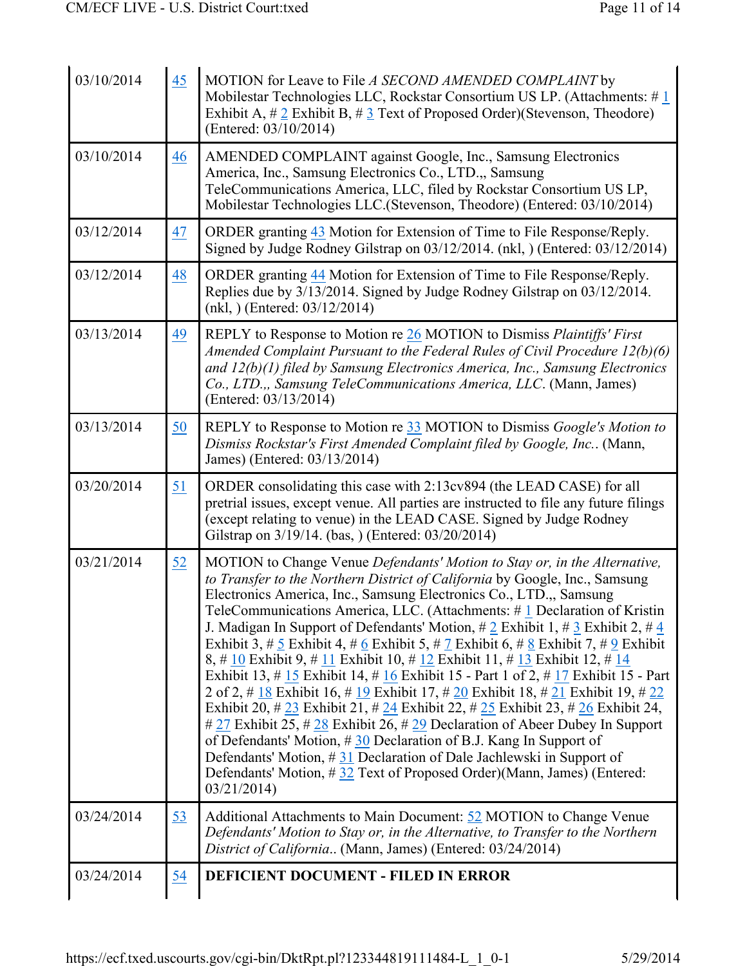| 03/10/2014 | 45               | MOTION for Leave to File A SECOND AMENDED COMPLAINT by<br>Mobilestar Technologies LLC, Rockstar Consortium US LP. (Attachments: #1<br>Exhibit A, $\#$ 2 Exhibit B, $\#$ 3 Text of Proposed Order)(Stevenson, Theodore)<br>(Entered: 03/10/2014)                                                                                                                                                                                                                                                                                                                                                                                                                                                                                                                                                                                                                                                                                                                                                                                                                                                                                                                                                                            |  |  |  |
|------------|------------------|----------------------------------------------------------------------------------------------------------------------------------------------------------------------------------------------------------------------------------------------------------------------------------------------------------------------------------------------------------------------------------------------------------------------------------------------------------------------------------------------------------------------------------------------------------------------------------------------------------------------------------------------------------------------------------------------------------------------------------------------------------------------------------------------------------------------------------------------------------------------------------------------------------------------------------------------------------------------------------------------------------------------------------------------------------------------------------------------------------------------------------------------------------------------------------------------------------------------------|--|--|--|
| 03/10/2014 | 46               | AMENDED COMPLAINT against Google, Inc., Samsung Electronics<br>America, Inc., Samsung Electronics Co., LTD.,, Samsung<br>TeleCommunications America, LLC, filed by Rockstar Consortium US LP,<br>Mobilestar Technologies LLC.(Stevenson, Theodore) (Entered: 03/10/2014)                                                                                                                                                                                                                                                                                                                                                                                                                                                                                                                                                                                                                                                                                                                                                                                                                                                                                                                                                   |  |  |  |
| 03/12/2014 | 47               | ORDER granting 43 Motion for Extension of Time to File Response/Reply.<br>Signed by Judge Rodney Gilstrap on 03/12/2014. (nkl, ) (Entered: 03/12/2014)                                                                                                                                                                                                                                                                                                                                                                                                                                                                                                                                                                                                                                                                                                                                                                                                                                                                                                                                                                                                                                                                     |  |  |  |
| 03/12/2014 | <u>48</u>        | ORDER granting 44 Motion for Extension of Time to File Response/Reply.<br>Replies due by 3/13/2014. Signed by Judge Rodney Gilstrap on 03/12/2014.<br>$(nkl, )$ (Entered: 03/12/2014)                                                                                                                                                                                                                                                                                                                                                                                                                                                                                                                                                                                                                                                                                                                                                                                                                                                                                                                                                                                                                                      |  |  |  |
| 03/13/2014 | <u>49</u>        | REPLY to Response to Motion re 26 MOTION to Dismiss Plaintiffs' First<br>Amended Complaint Pursuant to the Federal Rules of Civil Procedure 12(b)(6)<br>and 12(b)(1) filed by Samsung Electronics America, Inc., Samsung Electronics<br>Co., LTD.,, Samsung TeleCommunications America, LLC. (Mann, James)<br>(Entered: 03/13/2014)                                                                                                                                                                                                                                                                                                                                                                                                                                                                                                                                                                                                                                                                                                                                                                                                                                                                                        |  |  |  |
| 03/13/2014 | $\underline{50}$ | REPLY to Response to Motion re 33 MOTION to Dismiss Google's Motion to<br>Dismiss Rockstar's First Amended Complaint filed by Google, Inc (Mann,<br>James) (Entered: 03/13/2014)                                                                                                                                                                                                                                                                                                                                                                                                                                                                                                                                                                                                                                                                                                                                                                                                                                                                                                                                                                                                                                           |  |  |  |
| 03/20/2014 | 51               | ORDER consolidating this case with 2:13cv894 (the LEAD CASE) for all<br>pretrial issues, except venue. All parties are instructed to file any future filings<br>(except relating to venue) in the LEAD CASE. Signed by Judge Rodney<br>Gilstrap on 3/19/14. (bas, ) (Entered: 03/20/2014)                                                                                                                                                                                                                                                                                                                                                                                                                                                                                                                                                                                                                                                                                                                                                                                                                                                                                                                                  |  |  |  |
| 03/21/2014 | 52               | MOTION to Change Venue Defendants' Motion to Stay or, in the Alternative,<br>to Transfer to the Northern District of California by Google, Inc., Samsung<br>Electronics America, Inc., Samsung Electronics Co., LTD.,, Samsung<br>TeleCommunications America, LLC. (Attachments: #1 Declaration of Kristin<br>J. Madigan In Support of Defendants' Motion, $\# 2$ Exhibit 1, $\# 3$ Exhibit 2, $\# 4$<br>Exhibit 3, # $\frac{1}{2}$ Exhibit 4, # $\frac{1}{2}$ Exhibit 5, # $\frac{1}{2}$ Exhibit 6, # $\frac{1}{2}$ Exhibit 7, # $\frac{1}{2}$ Exhibit<br>8, # 10 Exhibit 9, # 11 Exhibit 10, # 12 Exhibit 11, # 13 Exhibit 12, # 14<br>Exhibit 13, # 15 Exhibit 14, # 16 Exhibit 15 - Part 1 of 2, # 17 Exhibit 15 - Part<br>2 of 2, # 18 Exhibit 16, # 19 Exhibit 17, # 20 Exhibit 18, # 21 Exhibit 19, # 22<br>Exhibit 20, # 23 Exhibit 21, # 24 Exhibit 22, # 25 Exhibit 23, # 26 Exhibit 24,<br># 27 Exhibit 25, # 28 Exhibit 26, # 29 Declaration of Abeer Dubey In Support<br>of Defendants' Motion, $\#30$ Declaration of B.J. Kang In Support of<br>Defendants' Motion, #31 Declaration of Dale Jachlewski in Support of<br>Defendants' Motion, #32 Text of Proposed Order)(Mann, James) (Entered:<br>03/21/2014 |  |  |  |
| 03/24/2014 | 53               | Additional Attachments to Main Document: 52 MOTION to Change Venue<br>Defendants' Motion to Stay or, in the Alternative, to Transfer to the Northern<br>District of California (Mann, James) (Entered: 03/24/2014)                                                                                                                                                                                                                                                                                                                                                                                                                                                                                                                                                                                                                                                                                                                                                                                                                                                                                                                                                                                                         |  |  |  |
| 03/24/2014 | <u>54</u>        | DEFICIENT DOCUMENT - FILED IN ERROR                                                                                                                                                                                                                                                                                                                                                                                                                                                                                                                                                                                                                                                                                                                                                                                                                                                                                                                                                                                                                                                                                                                                                                                        |  |  |  |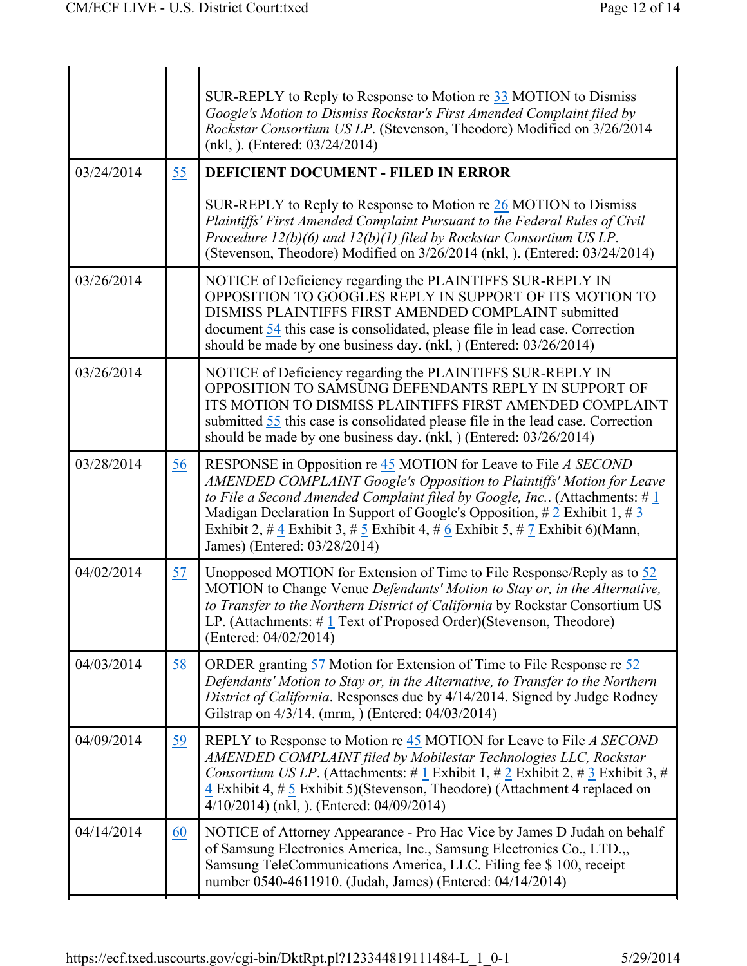|            |           | SUR-REPLY to Reply to Response to Motion re $33$ MOTION to Dismiss<br>Google's Motion to Dismiss Rockstar's First Amended Complaint filed by<br>Rockstar Consortium US LP. (Stevenson, Theodore) Modified on 3/26/2014<br>$(nkl, )$ . (Entered: 03/24/2014)                                                                                                                                                                                                                                              |  |
|------------|-----------|----------------------------------------------------------------------------------------------------------------------------------------------------------------------------------------------------------------------------------------------------------------------------------------------------------------------------------------------------------------------------------------------------------------------------------------------------------------------------------------------------------|--|
| 03/24/2014 | 55        | <b>DEFICIENT DOCUMENT - FILED IN ERROR</b>                                                                                                                                                                                                                                                                                                                                                                                                                                                               |  |
|            |           | SUR-REPLY to Reply to Response to Motion re $26$ MOTION to Dismiss<br>Plaintiffs' First Amended Complaint Pursuant to the Federal Rules of Civil<br>Procedure $12(b)(6)$ and $12(b)(1)$ filed by Rockstar Consortium US LP.<br>(Stevenson, Theodore) Modified on 3/26/2014 (nkl, ). (Entered: 03/24/2014)                                                                                                                                                                                                |  |
| 03/26/2014 |           | NOTICE of Deficiency regarding the PLAINTIFFS SUR-REPLY IN<br>OPPOSITION TO GOOGLES REPLY IN SUPPORT OF ITS MOTION TO<br>DISMISS PLAINTIFFS FIRST AMENDED COMPLAINT submitted<br>document 54 this case is consolidated, please file in lead case. Correction<br>should be made by one business day. (nkl, ) (Entered: 03/26/2014)                                                                                                                                                                        |  |
| 03/26/2014 |           | NOTICE of Deficiency regarding the PLAINTIFFS SUR-REPLY IN<br>OPPOSITION TO SAMSUNG DEFENDANTS REPLY IN SUPPORT OF<br>ITS MOTION TO DISMISS PLAINTIFFS FIRST AMENDED COMPLAINT<br>submitted 55 this case is consolidated please file in the lead case. Correction<br>should be made by one business day. (nkl, ) (Entered: 03/26/2014)                                                                                                                                                                   |  |
| 03/28/2014 | 56        | RESPONSE in Opposition re 45 MOTION for Leave to File A SECOND<br>AMENDED COMPLAINT Google's Opposition to Plaintiffs' Motion for Leave<br>to File a Second Amended Complaint filed by Google, Inc. (Attachments: $\#\underline{1}$<br>Madigan Declaration In Support of Google's Opposition, $\#\frac{2}{7}$ Exhibit 1, $\#\frac{3}{7}$<br>Exhibit 2, # $\frac{4}{3}$ Exhibit 3, # $\frac{5}{3}$ Exhibit 4, # $\frac{6}{3}$ Exhibit 5, # $\frac{7}{3}$ Exhibit 6)(Mann,<br>James) (Entered: 03/28/2014) |  |
| 04/02/2014 | 57        | Unopposed MOTION for Extension of Time to File Response/Reply as to 52<br>MOTION to Change Venue Defendants' Motion to Stay or, in the Alternative,<br>to Transfer to the Northern District of California by Rockstar Consortium US<br>LP. (Attachments: $\# \underline{1}$ Text of Proposed Order)(Stevenson, Theodore)<br>(Entered: 04/02/2014)                                                                                                                                                        |  |
| 04/03/2014 | 58        | ORDER granting 57 Motion for Extension of Time to File Response re 52<br>Defendants' Motion to Stay or, in the Alternative, to Transfer to the Northern<br>District of California. Responses due by 4/14/2014. Signed by Judge Rodney<br>Gilstrap on 4/3/14. (mrm, ) (Entered: 04/03/2014)                                                                                                                                                                                                               |  |
| 04/09/2014 | <u>59</u> | REPLY to Response to Motion re 45 MOTION for Leave to File A SECOND<br>AMENDED COMPLAINT filed by Mobilestar Technologies LLC, Rockstar<br><i>Consortium US LP.</i> (Attachments: # 1 Exhibit 1, # 2 Exhibit 2, # 3 Exhibit 3, #<br>4 Exhibit 4, $\#$ 5 Exhibit 5)(Stevenson, Theodore) (Attachment 4 replaced on<br>4/10/2014) (nkl, ). (Entered: 04/09/2014)                                                                                                                                           |  |
| 04/14/2014 | 60        | NOTICE of Attorney Appearance - Pro Hac Vice by James D Judah on behalf<br>of Samsung Electronics America, Inc., Samsung Electronics Co., LTD.,,<br>Samsung TeleCommunications America, LLC. Filing fee \$100, receipt<br>number 0540-4611910. (Judah, James) (Entered: 04/14/2014)                                                                                                                                                                                                                      |  |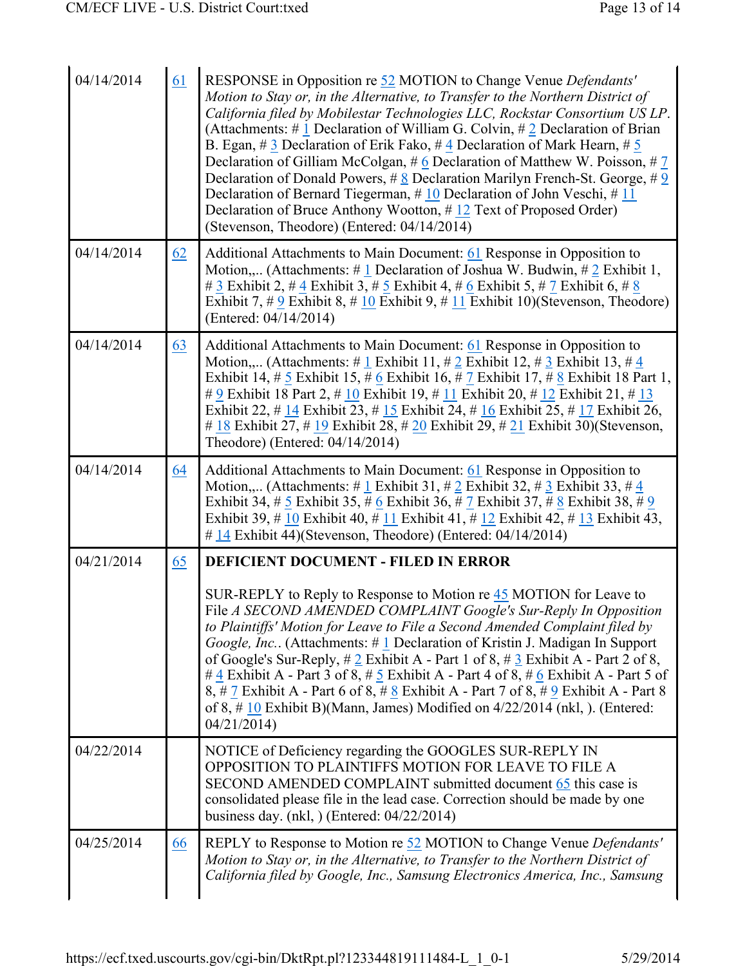| 04/14/2014 | 61 | RESPONSE in Opposition re 52 MOTION to Change Venue Defendants'<br>Motion to Stay or, in the Alternative, to Transfer to the Northern District of<br>California filed by Mobilestar Technologies LLC, Rockstar Consortium US LP.<br>(Attachments: # $\perp$ Declaration of William G. Colvin, # 2 Declaration of Brian<br>B. Egan, #3 Declaration of Erik Fako, #4 Declaration of Mark Hearn, #5<br>Declaration of Gilliam McColgan, $# 6$ Declaration of Matthew W. Poisson, $# 7$<br>Declaration of Donald Powers, $\#\underline{8}$ Declaration Marilyn French-St. George, $\#\underline{9}$<br>Declaration of Bernard Tiegerman, $\#$ 10 Declaration of John Veschi, $\#$ 11<br>Declaration of Bruce Anthony Wootton, $\#$ 12 Text of Proposed Order)<br>(Stevenson, Theodore) (Entered: 04/14/2014) |  |  |
|------------|----|----------------------------------------------------------------------------------------------------------------------------------------------------------------------------------------------------------------------------------------------------------------------------------------------------------------------------------------------------------------------------------------------------------------------------------------------------------------------------------------------------------------------------------------------------------------------------------------------------------------------------------------------------------------------------------------------------------------------------------------------------------------------------------------------------------|--|--|
| 04/14/2014 | 62 | Additional Attachments to Main Document: 61 Response in Opposition to<br>Motion, (Attachments: #1 Declaration of Joshua W. Budwin, #2 Exhibit 1,<br># $\underline{3}$ Exhibit 2, # $\underline{4}$ Exhibit 3, # $\underline{5}$ Exhibit 4, # $\underline{6}$ Exhibit 5, # $\underline{7}$ Exhibit 6, # 8<br>Exhibit 7, # $9$ Exhibit 8, # 10 Exhibit 9, # 11 Exhibit 10)(Stevenson, Theodore)<br>(Entered: 04/14/2014)                                                                                                                                                                                                                                                                                                                                                                                   |  |  |
| 04/14/2014 | 63 | Additional Attachments to Main Document: 61 Response in Opposition to<br>Motion, (Attachments: # 1 Exhibit 11, # 2 Exhibit 12, # 3 Exhibit 13, # 4<br>Exhibit 14, # $\frac{5}{5}$ Exhibit 15, # $\frac{6}{5}$ Exhibit 16, # $\frac{7}{5}$ Exhibit 17, # $\frac{8}{5}$ Exhibit 18 Part 1,<br># 9 Exhibit 18 Part 2, # 10 Exhibit 19, # 11 Exhibit 20, # 12 Exhibit 21, # 13<br>Exhibit 22, # $14$ Exhibit 23, # $15$ Exhibit 24, # $16$ Exhibit 25, # $17$ Exhibit 26,<br># $\underline{18}$ Exhibit 27, # $\underline{19}$ Exhibit 28, # $\underline{20}$ Exhibit 29, # $\underline{21}$ Exhibit 30)(Stevenson,<br>Theodore) (Entered: 04/14/2014)                                                                                                                                                       |  |  |
| 04/14/2014 | 64 | Additional Attachments to Main Document: 61 Response in Opposition to<br>Motion, (Attachments: # 1 Exhibit 31, # 2 Exhibit 32, # 3 Exhibit 33, # 4<br>Exhibit 34, # $\frac{5}{9}$ Exhibit 35, # $\frac{6}{9}$ Exhibit 36, # $\frac{7}{9}$ Exhibit 37, # $\frac{8}{9}$ Exhibit 38, # $\frac{9}{9}$<br>Exhibit 39, # 10 Exhibit 40, # 11 Exhibit 41, # 12 Exhibit 42, # 13 Exhibit 43,<br>$\#$ 14 Exhibit 44)(Stevenson, Theodore) (Entered: 04/14/2014)                                                                                                                                                                                                                                                                                                                                                   |  |  |
| 04/21/2014 | 65 | <b>DEFICIENT DOCUMENT - FILED IN ERROR</b>                                                                                                                                                                                                                                                                                                                                                                                                                                                                                                                                                                                                                                                                                                                                                               |  |  |
|            |    | SUR-REPLY to Reply to Response to Motion re 45 MOTION for Leave to<br>File A SECOND AMENDED COMPLAINT Google's Sur-Reply In Opposition<br>to Plaintiffs' Motion for Leave to File a Second Amended Complaint filed by<br>Google, Inc (Attachments: #1 Declaration of Kristin J. Madigan In Support<br>of Google's Sur-Reply, $\# 2$ Exhibit A - Part 1 of 8, $\# 3$ Exhibit A - Part 2 of 8,<br># $\frac{4}{3}$ Exhibit A - Part 3 of 8, # $\frac{5}{3}$ Exhibit A - Part 4 of 8, # $\frac{6}{3}$ Exhibit A - Part 5 of<br>8, # 7 Exhibit A - Part 6 of 8, # $8$ Exhibit A - Part 7 of 8, # 9 Exhibit A - Part 8<br>of 8, $\#$ 10 Exhibit B)(Mann, James) Modified on 4/22/2014 (nkl, ). (Entered:<br>04/21/2014                                                                                         |  |  |
| 04/22/2014 |    | NOTICE of Deficiency regarding the GOOGLES SUR-REPLY IN<br>OPPOSITION TO PLAINTIFFS MOTION FOR LEAVE TO FILE A<br>SECOND AMENDED COMPLAINT submitted document 65 this case is<br>consolidated please file in the lead case. Correction should be made by one<br>business day. $(nkl, )$ (Entered: $04/22/2014$ )                                                                                                                                                                                                                                                                                                                                                                                                                                                                                         |  |  |
| 04/25/2014 | 66 | REPLY to Response to Motion re 52 MOTION to Change Venue Defendants'<br>Motion to Stay or, in the Alternative, to Transfer to the Northern District of<br>California filed by Google, Inc., Samsung Electronics America, Inc., Samsung                                                                                                                                                                                                                                                                                                                                                                                                                                                                                                                                                                   |  |  |